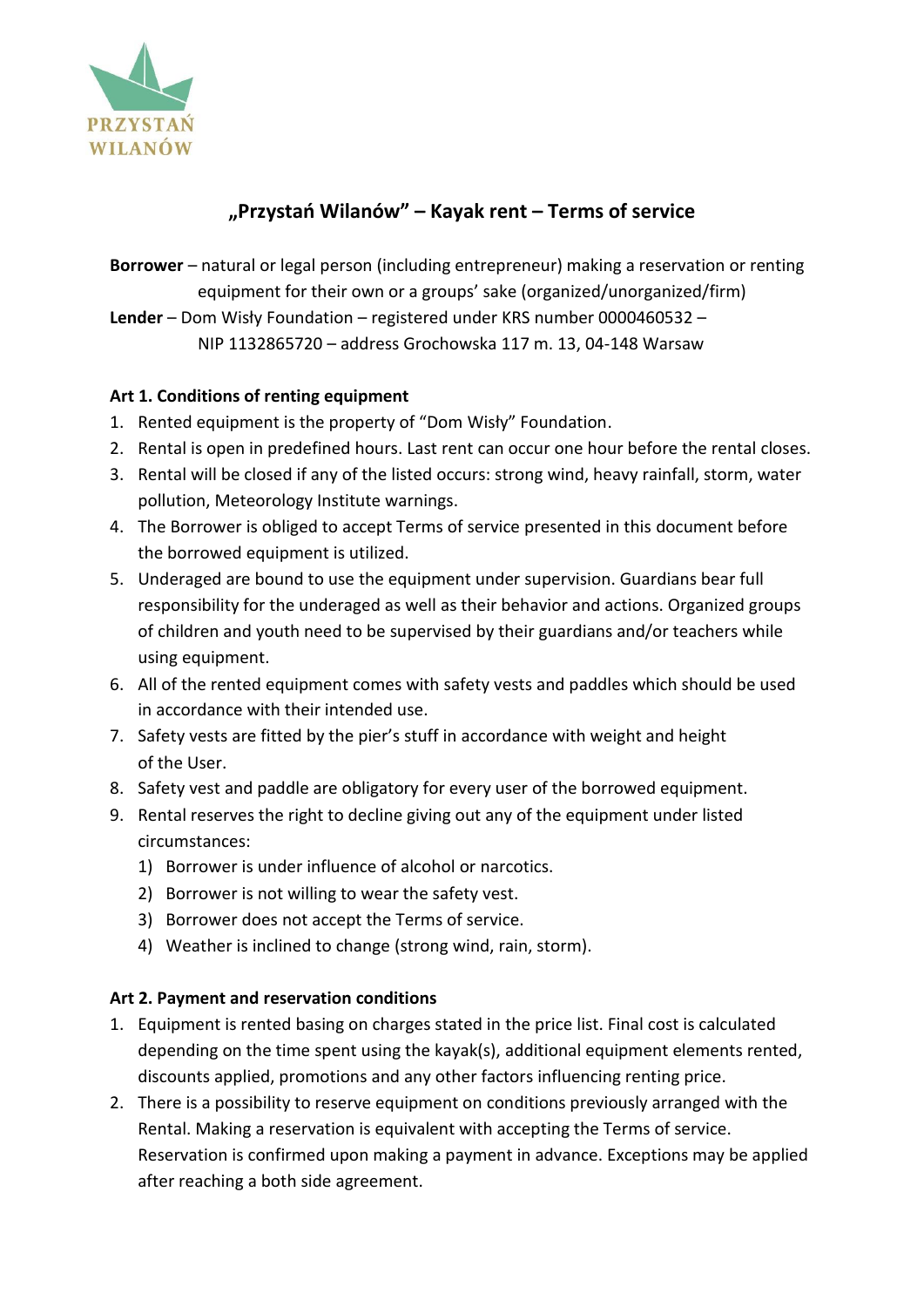

# **"Przystań Wilanów" – Kayak rent – Terms of service**

**Borrower** – natural or legal person (including entrepreneur) making a reservation or renting equipment for their own or a groups' sake (organized/unorganized/firm) **Lender** – Dom Wisły Foundation – registered under KRS number 0000460532 –

NIP 1132865720 – address Grochowska 117 m. 13, 04-148 Warsaw

# **Art 1. Conditions of renting equipment**

- 1. Rented equipment is the property of "Dom Wisły" Foundation.
- 2. Rental is open in predefined hours. Last rent can occur one hour before the rental closes.
- 3. Rental will be closed if any of the listed occurs: strong wind, heavy rainfall, storm, water pollution, Meteorology Institute warnings.
- 4. The Borrower is obliged to accept Terms of service presented in this document before the borrowed equipment is utilized.
- 5. Underaged are bound to use the equipment under supervision. Guardians bear full responsibility for the underaged as well as their behavior and actions. Organized groups of children and youth need to be supervised by their guardians and/or teachers while using equipment.
- 6. All of the rented equipment comes with safety vests and paddles which should be used in accordance with their intended use.
- 7. Safety vests are fitted by the pier's stuff in accordance with weight and height of the User.
- 8. Safety vest and paddle are obligatory for every user of the borrowed equipment.
- 9. Rental reserves the right to decline giving out any of the equipment under listed circumstances:
	- 1) Borrower is under influence of alcohol or narcotics.
	- 2) Borrower is not willing to wear the safety vest.
	- 3) Borrower does not accept the Terms of service.
	- 4) Weather is inclined to change (strong wind, rain, storm).

## **Art 2. Payment and reservation conditions**

- 1. Equipment is rented basing on charges stated in the price list. Final cost is calculated depending on the time spent using the kayak(s), additional equipment elements rented, discounts applied, promotions and any other factors influencing renting price.
- 2. There is a possibility to reserve equipment on conditions previously arranged with the Rental. Making a reservation is equivalent with accepting the Terms of service. Reservation is confirmed upon making a payment in advance. Exceptions may be applied after reaching a both side agreement.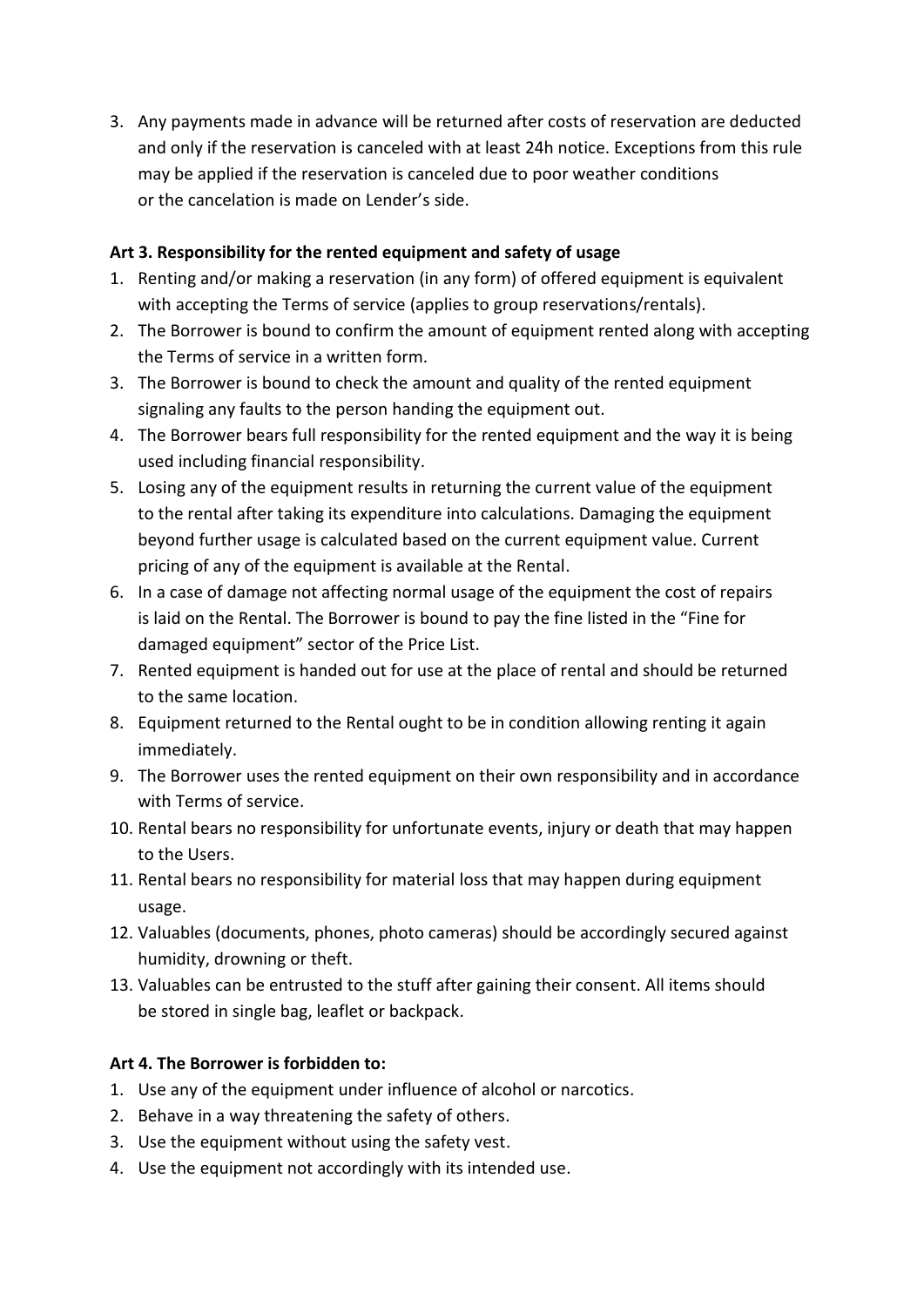3. Any payments made in advance will be returned after costs of reservation are deducted and only if the reservation is canceled with at least 24h notice. Exceptions from this rule may be applied if the reservation is canceled due to poor weather conditions or the cancelation is made on Lender's side.

# **Art 3. Responsibility for the rented equipment and safety of usage**

- 1. Renting and/or making a reservation (in any form) of offered equipment is equivalent with accepting the Terms of service (applies to group reservations/rentals).
- 2. The Borrower is bound to confirm the amount of equipment rented along with accepting the Terms of service in a written form.
- 3. The Borrower is bound to check the amount and quality of the rented equipment signaling any faults to the person handing the equipment out.
- 4. The Borrower bears full responsibility for the rented equipment and the way it is being used including financial responsibility.
- 5. Losing any of the equipment results in returning the current value of the equipment to the rental after taking its expenditure into calculations. Damaging the equipment beyond further usage is calculated based on the current equipment value. Current pricing of any of the equipment is available at the Rental.
- 6. In a case of damage not affecting normal usage of the equipment the cost of repairs is laid on the Rental. The Borrower is bound to pay the fine listed in the "Fine for damaged equipment" sector of the Price List.
- 7. Rented equipment is handed out for use at the place of rental and should be returned to the same location.
- 8. Equipment returned to the Rental ought to be in condition allowing renting it again immediately.
- 9. The Borrower uses the rented equipment on their own responsibility and in accordance with Terms of service.
- 10. Rental bears no responsibility for unfortunate events, injury or death that may happen to the Users.
- 11. Rental bears no responsibility for material loss that may happen during equipment usage.
- 12. Valuables (documents, phones, photo cameras) should be accordingly secured against humidity, drowning or theft.
- 13. Valuables can be entrusted to the stuff after gaining their consent. All items should be stored in single bag, leaflet or backpack.

## **Art 4. The Borrower is forbidden to:**

- 1. Use any of the equipment under influence of alcohol or narcotics.
- 2. Behave in a way threatening the safety of others.
- 3. Use the equipment without using the safety vest.
- 4. Use the equipment not accordingly with its intended use.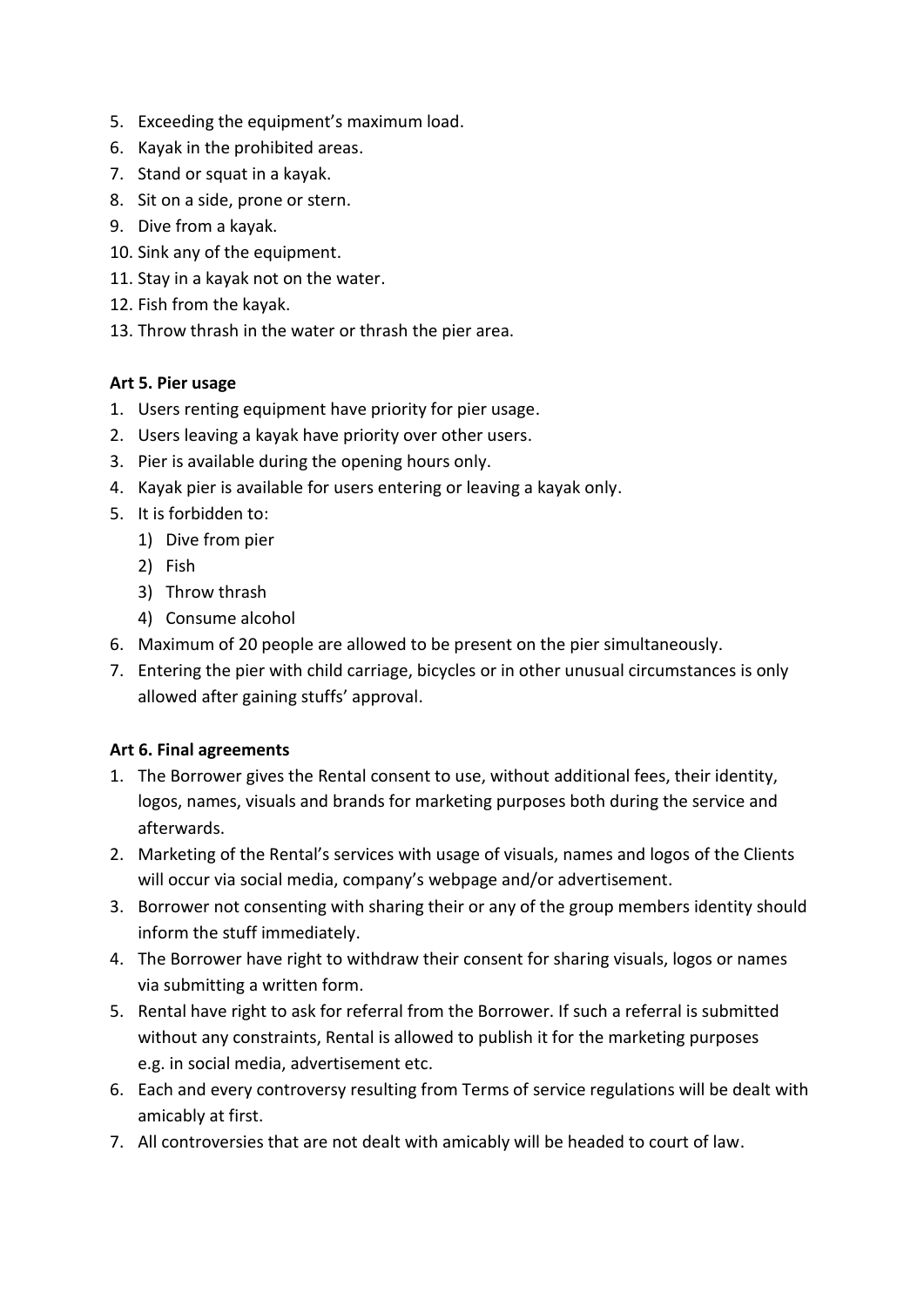- 5. Exceeding the equipment's maximum load.
- 6. Kayak in the prohibited areas.
- 7. Stand or squat in a kayak.
- 8. Sit on a side, prone or stern.
- 9. Dive from a kayak.
- 10. Sink any of the equipment.
- 11. Stay in a kayak not on the water.
- 12. Fish from the kayak.
- 13. Throw thrash in the water or thrash the pier area.

#### **Art 5. Pier usage**

- 1. Users renting equipment have priority for pier usage.
- 2. Users leaving a kayak have priority over other users.
- 3. Pier is available during the opening hours only.
- 4. Kayak pier is available for users entering or leaving a kayak only.
- 5. It is forbidden to:
	- 1) Dive from pier
	- 2) Fish
	- 3) Throw thrash
	- 4) Consume alcohol
- 6. Maximum of 20 people are allowed to be present on the pier simultaneously.
- 7. Entering the pier with child carriage, bicycles or in other unusual circumstances is only allowed after gaining stuffs' approval.

## **Art 6. Final agreements**

- 1. The Borrower gives the Rental consent to use, without additional fees, their identity, logos, names, visuals and brands for marketing purposes both during the service and afterwards.
- 2. Marketing of the Rental's services with usage of visuals, names and logos of the Clients will occur via social media, company's webpage and/or advertisement.
- 3. Borrower not consenting with sharing their or any of the group members identity should inform the stuff immediately.
- 4. The Borrower have right to withdraw their consent for sharing visuals, logos or names via submitting a written form.
- 5. Rental have right to ask for referral from the Borrower. If such a referral is submitted without any constraints, Rental is allowed to publish it for the marketing purposes e.g. in social media, advertisement etc.
- 6. Each and every controversy resulting from Terms of service regulations will be dealt with amicably at first.
- 7. All controversies that are not dealt with amicably will be headed to court of law.